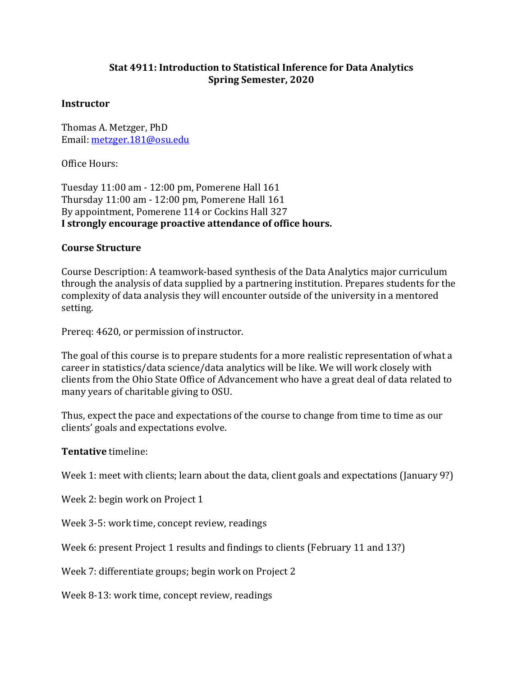## **Stat 4911: Introduction to Statistical Inference for Data Analytics Spring Semester, 2020**

#### **Instructor**

Thomas A. Metzger, PhD Email: [metzger.181@osu.edu](mailto:metzger.181@osu.edu)

Office Hours:

Tuesday 11:00 am - 12:00 pm, Pomerene Hall 161 Thursday 11:00 am - 12:00 pm, Pomerene Hall 161 By appointment, Pomerene 114 or Cockins Hall 327 **I strongly encourage proactive attendance of office hours.**

#### **Course Structure**

Course Description: A teamwork-based synthesis of the Data Analytics major curriculum through the analysis of data supplied by a partnering institution. Prepares students for the complexity of data analysis they will encounter outside of the university in a mentored setting.

Prereq: 4620, or permission of instructor.

The goal of this course is to prepare students for a more realistic representation of what a career in statistics/data science/data analytics will be like. We will work closely with clients from the Ohio State Office of Advancement who have a great deal of data related to many years of charitable giving to OSU.

Thus, expect the pace and expectations of the course to change from time to time as our clients' goals and expectations evolve.

#### **Tentative** timeline:

Week 1: meet with clients; learn about the data, client goals and expectations (January 9?)

Week 2: begin work on Project 1

Week 3-5: work time, concept review, readings

Week 6: present Project 1 results and findings to clients (February 11 and 13?)

Week 7: differentiate groups; begin work on Project 2

Week 8-13: work time, concept review, readings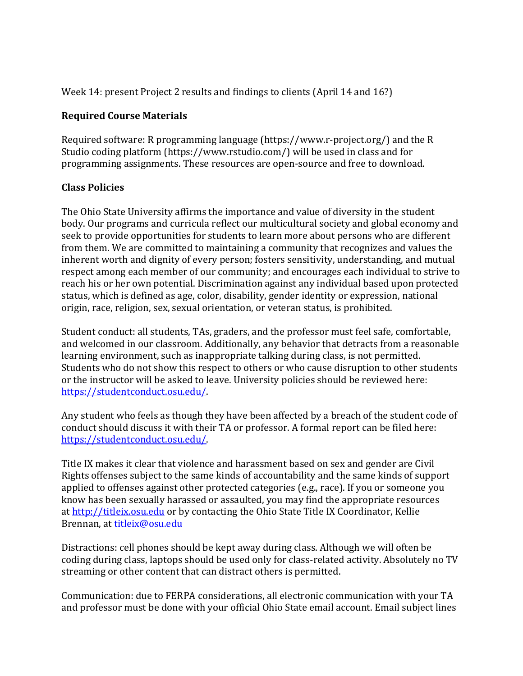Week 14: present Project 2 results and findings to clients (April 14 and 16?)

## **Required Course Materials**

Required software: R programming language (https://www.r-project.org/) and the R Studio coding platform (https://www.rstudio.com/) will be used in class and for programming assignments. These resources are open-source and free to download.

## **Class Policies**

The Ohio State University affirms the importance and value of diversity in the student body. Our programs and curricula reflect our multicultural society and global economy and seek to provide opportunities for students to learn more about persons who are different from them. We are committed to maintaining a community that recognizes and values the inherent worth and dignity of every person; fosters sensitivity, understanding, and mutual respect among each member of our community; and encourages each individual to strive to reach his or her own potential. Discrimination against any individual based upon protected status, which is defined as age, color, disability, gender identity or expression, national origin, race, religion, sex, sexual orientation, or veteran status, is prohibited.

Student conduct: all students, TAs, graders, and the professor must feel safe, comfortable, and welcomed in our classroom. Additionally, any behavior that detracts from a reasonable learning environment, such as inappropriate talking during class, is not permitted. Students who do not show this respect to others or who cause disruption to other students or the instructor will be asked to leave. University policies should be reviewed here: [https://studentconduct.osu.edu/.](https://studentconduct.osu.edu/)

Any student who feels as though they have been affected by a breach of the student code of conduct should discuss it with their TA or professor. A formal report can be filed here: [https://studentconduct.osu.edu/.](https://studentconduct.osu.edu/)

Title IX makes it clear that violence and harassment based on sex and gender are Civil Rights offenses subject to the same kinds of accountability and the same kinds of support applied to offenses against other protected categories (e.g., race). If you or someone you know has been sexually harassed or assaulted, you may find the appropriate resources at [http://titleix.osu.edu](http://titleix.osu.edu/) or by contacting the Ohio State Title IX Coordinator, Kellie Brennan, at [titleix@osu.edu](mailto:titleix@osu.edu)

Distractions: cell phones should be kept away during class. Although we will often be coding during class, laptops should be used only for class-related activity. Absolutely no TV streaming or other content that can distract others is permitted.

Communication: due to FERPA considerations, all electronic communication with your TA and professor must be done with your official Ohio State email account. Email subject lines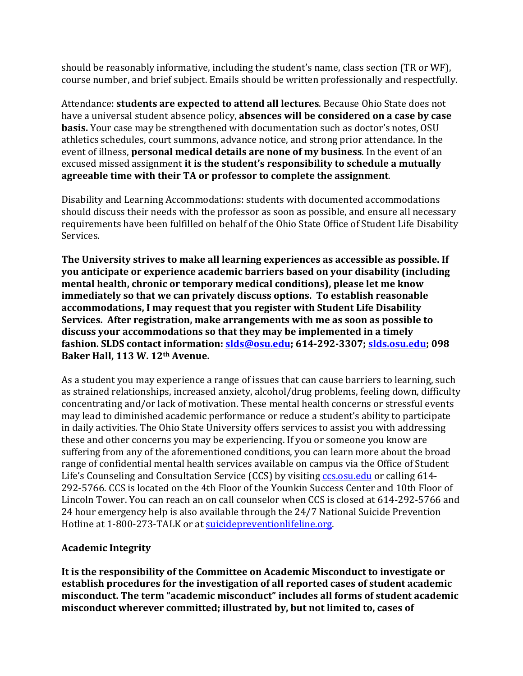should be reasonably informative, including the student's name, class section (TR or WF), course number, and brief subject. Emails should be written professionally and respectfully.

Attendance: **students are expected to attend all lectures**. Because Ohio State does not have a universal student absence policy, **absences will be considered on a case by case basis.** Your case may be strengthened with documentation such as doctor's notes, OSU athletics schedules, court summons, advance notice, and strong prior attendance. In the event of illness, **personal medical details are none of my business**. In the event of an excused missed assignment **it is the student's responsibility to schedule a mutually agreeable time with their TA or professor to complete the assignment**.

Disability and Learning Accommodations: students with documented accommodations should discuss their needs with the professor as soon as possible, and ensure all necessary requirements have been fulfilled on behalf of the Ohio State Office of Student Life Disability Services.

**The University strives to make all learning experiences as accessible as possible. If you anticipate or experience academic barriers based on your disability (including mental health, chronic or temporary medical conditions), please let me know immediately so that we can privately discuss options. To establish reasonable accommodations, I may request that you register with Student Life Disability Services. After registration, make arrangements with me as soon as possible to discuss your accommodations so that they may be implemented in a timely fashion. SLDS contact information: [slds@osu.edu;](mailto:slds@osu.edu) 614-292-3307; [slds.osu.edu;](http://www.ods.ohio-state.edu/) 098 Baker Hall, 113 W. 12th Avenue.**

As a student you may experience a range of issues that can cause barriers to learning, such as strained relationships, increased anxiety, alcohol/drug problems, feeling down, difficulty concentrating and/or lack of motivation. These mental health concerns or stressful events may lead to diminished academic performance or reduce a student's ability to participate in daily activities. The Ohio State University offers services to assist you with addressing these and other concerns you may be experiencing. If you or someone you know are suffering from any of the aforementioned conditions, you can learn more about the broad range of confidential mental health services available on campus via the Office of Student Life's Counseling and Consultation Service (CCS) by visiting [ccs.osu.edu](http://ccs.osu.edu/) or calling 614-292-5766. CCS is located on the 4th Floor of the Younkin Success Center and 10th Floor of Lincoln Tower. You can reach an on call counselor when CCS is closed at 614-292-5766 and 24 hour emergency help is also available through the 24/7 National Suicide Prevention Hotline at 1-800-273-TALK or at [suicidepreventionlifeline.org.](http://suicidepreventionlifeline.org/)

# **Academic Integrity**

**It is the responsibility of the Committee on Academic Misconduct to investigate or establish procedures for the investigation of all reported cases of student academic misconduct. The term "academic misconduct" includes all forms of student academic misconduct wherever committed; illustrated by, but not limited to, cases of**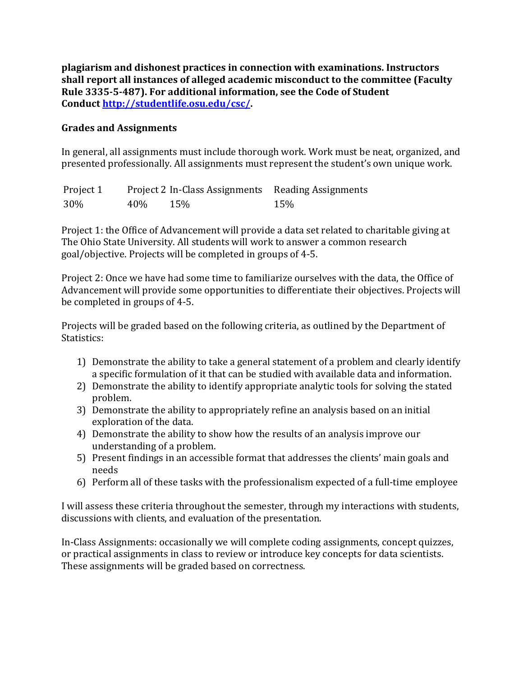**plagiarism and dishonest practices in connection with examinations. Instructors shall report all instances of alleged academic misconduct to the committee (Faculty Rule 3335-5-487). For additional information, see the Code of Student Conduct [http://studentlife.osu.edu/csc/.](http://studentlife.osu.edu/csc/)**

### **Grades and Assignments**

In general, all assignments must include thorough work. Work must be neat, organized, and presented professionally. All assignments must represent the student's own unique work.

| Project 1 |     | Project 2 In-Class Assignments Reading Assignments |     |
|-----------|-----|----------------------------------------------------|-----|
| 30%       | 40% | 15%                                                | 15% |

Project 1: the Office of Advancement will provide a data set related to charitable giving at The Ohio State University. All students will work to answer a common research goal/objective. Projects will be completed in groups of 4-5.

Project 2: Once we have had some time to familiarize ourselves with the data, the Office of Advancement will provide some opportunities to differentiate their objectives. Projects will be completed in groups of 4-5.

Projects will be graded based on the following criteria, as outlined by the Department of Statistics:

- 1) Demonstrate the ability to take a general statement of a problem and clearly identify a specific formulation of it that can be studied with available data and information.
- 2) Demonstrate the ability to identify appropriate analytic tools for solving the stated problem.
- 3) Demonstrate the ability to appropriately refine an analysis based on an initial exploration of the data.
- 4) Demonstrate the ability to show how the results of an analysis improve our understanding of a problem.
- 5) Present findings in an accessible format that addresses the clients' main goals and needs
- 6) Perform all of these tasks with the professionalism expected of a full-time employee

I will assess these criteria throughout the semester, through my interactions with students, discussions with clients, and evaluation of the presentation.

In-Class Assignments: occasionally we will complete coding assignments, concept quizzes, or practical assignments in class to review or introduce key concepts for data scientists. These assignments will be graded based on correctness.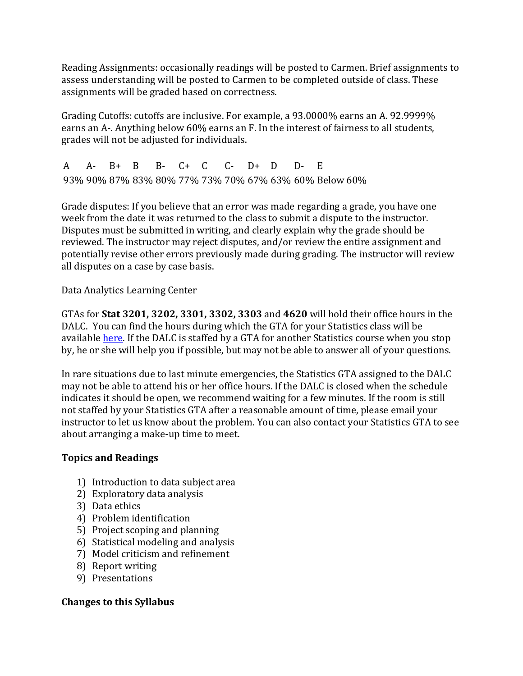Reading Assignments: occasionally readings will be posted to Carmen. Brief assignments to assess understanding will be posted to Carmen to be completed outside of class. These assignments will be graded based on correctness.

Grading Cutoffs: cutoffs are inclusive. For example, a 93.0000% earns an A. 92.9999% earns an A-. Anything below 60% earns an F. In the interest of fairness to all students, grades will not be adjusted for individuals.

A A- B+ B B- C+ C C- D+ D D- E 93% 90% 87% 83% 80% 77% 73% 70% 67% 63% 60% Below 60%

Grade disputes: If you believe that an error was made regarding a grade, you have one week from the date it was returned to the class to submit a dispute to the instructor. Disputes must be submitted in writing, and clearly explain why the grade should be reviewed. The instructor may reject disputes, and/or review the entire assignment and potentially revise other errors previously made during grading. The instructor will review all disputes on a case by case basis.

Data Analytics Learning Center

GTAs for **Stat 3201, 3202, 3301, 3302, 3303** and **4620** will hold their office hours in the DALC. You can find the hours during which the GTA for your Statistics class will be available [here.](https://stat.osu.edu/undergraduates/tutoring) If the DALC is staffed by a GTA for another Statistics course when you stop by, he or she will help you if possible, but may not be able to answer all of your questions.

In rare situations due to last minute emergencies, the Statistics GTA assigned to the DALC may not be able to attend his or her office hours. If the DALC is closed when the schedule indicates it should be open, we recommend waiting for a few minutes. If the room is still not staffed by your Statistics GTA after a reasonable amount of time, please email your instructor to let us know about the problem. You can also contact your Statistics GTA to see about arranging a make-up time to meet.

# **Topics and Readings**

- 1) Introduction to data subject area
- 2) Exploratory data analysis
- 3) Data ethics
- 4) Problem identification
- 5) Project scoping and planning
- 6) Statistical modeling and analysis
- 7) Model criticism and refinement
- 8) Report writing
- 9) Presentations

# **Changes to this Syllabus**